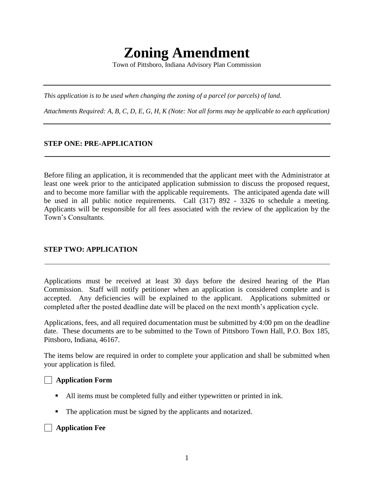# **Zoning Amendment**

Town of Pittsboro, Indiana Advisory Plan Commission

*This application is to be used when changing the zoning of a parcel (or parcels) of land.*

*Attachments Required: A, B, C, D, E, G, H, K (Note: Not all forms may be applicable to each application)*

#### **STEP ONE: PRE-APPLICATION**

Before filing an application, it is recommended that the applicant meet with the Administrator at least one week prior to the anticipated application submission to discuss the proposed request, and to become more familiar with the applicable requirements. The anticipated agenda date will be used in all public notice requirements. Call (317) 892 - 3326 to schedule a meeting. Applicants will be responsible for all fees associated with the review of the application by the Town's Consultants.

## **STEP TWO: APPLICATION**

Applications must be received at least 30 days before the desired hearing of the Plan Commission. Staff will notify petitioner when an application is considered complete and is accepted. Any deficiencies will be explained to the applicant. Applications submitted or completed after the posted deadline date will be placed on the next month's application cycle.

Applications, fees, and all required documentation must be submitted by 4:00 pm on the deadline date. These documents are to be submitted to the Town of Pittsboro Town Hall, P.O. Box 185, Pittsboro, Indiana, 46167.

The items below are required in order to complete your application and shall be submitted when your application is filed.

#### **Application Form**

- All items must be completed fully and either typewritten or printed in ink.
- The application must be signed by the applicants and notarized.

**Application Fee**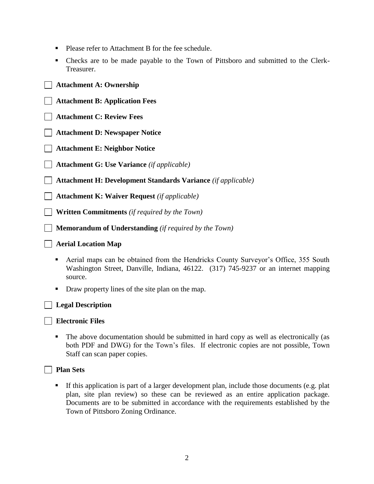- Please refer to Attachment B for the fee schedule.
- Checks are to be made payable to the Town of Pittsboro and submitted to the Clerk-Treasurer.

## **Attachment A: Ownership**

- **Attachment B: Application Fees**
- **Attachment C: Review Fees**
- **Attachment D: Newspaper Notice**
- **Attachment E: Neighbor Notice**
- **Attachment G: Use Variance** *(if applicable)*
- **Attachment H: Development Standards Variance** *(if applicable)*
- **Attachment K: Waiver Request** *(if applicable)*
	- **Written Commitments** *(if required by the Town)*
	- **Memorandum of Understanding** *(if required by the Town)*
- **Aerial Location Map**
	- Aerial maps can be obtained from the Hendricks County Surveyor's Office, 355 South Washington Street, Danville, Indiana, 46122. (317) 745-9237 or an internet mapping source.
	- Draw property lines of the site plan on the map.



# **Legal Description**

**Electronic Files**

 The above documentation should be submitted in hard copy as well as electronically (as both PDF and DWG) for the Town's files. If electronic copies are not possible, Town Staff can scan paper copies.



## **Plan Sets**

 If this application is part of a larger development plan, include those documents (e.g. plat plan, site plan review) so these can be reviewed as an entire application package. Documents are to be submitted in accordance with the requirements established by the Town of Pittsboro Zoning Ordinance.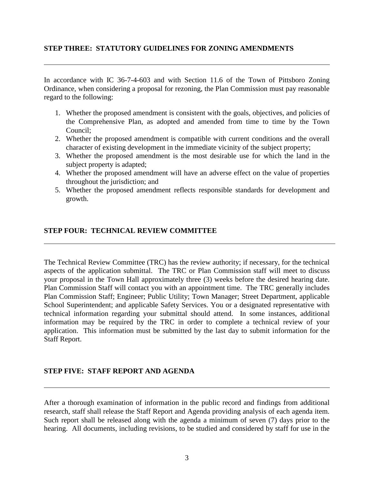## **STEP THREE: STATUTORY GUIDELINES FOR ZONING AMENDMENTS**

In accordance with IC 36-7-4-603 and with Section 11.6 of the Town of Pittsboro Zoning Ordinance, when considering a proposal for rezoning, the Plan Commission must pay reasonable regard to the following:

- 1. Whether the proposed amendment is consistent with the goals, objectives, and policies of the Comprehensive Plan, as adopted and amended from time to time by the Town Council;
- 2. Whether the proposed amendment is compatible with current conditions and the overall character of existing development in the immediate vicinity of the subject property;
- 3. Whether the proposed amendment is the most desirable use for which the land in the subject property is adapted;
- 4. Whether the proposed amendment will have an adverse effect on the value of properties throughout the jurisdiction; and
- 5. Whether the proposed amendment reflects responsible standards for development and growth.

## **STEP FOUR: TECHNICAL REVIEW COMMITTEE**

The Technical Review Committee (TRC) has the review authority; if necessary, for the technical aspects of the application submittal. The TRC or Plan Commission staff will meet to discuss your proposal in the Town Hall approximately three (3) weeks before the desired hearing date. Plan Commission Staff will contact you with an appointment time. The TRC generally includes Plan Commission Staff; Engineer; Public Utility; Town Manager; Street Department, applicable School Superintendent; and applicable Safety Services. You or a designated representative with technical information regarding your submittal should attend. In some instances, additional information may be required by the TRC in order to complete a technical review of your application. This information must be submitted by the last day to submit information for the Staff Report.

## **STEP FIVE: STAFF REPORT AND AGENDA**

After a thorough examination of information in the public record and findings from additional research, staff shall release the Staff Report and Agenda providing analysis of each agenda item. Such report shall be released along with the agenda a minimum of seven (7) days prior to the hearing. All documents, including revisions, to be studied and considered by staff for use in the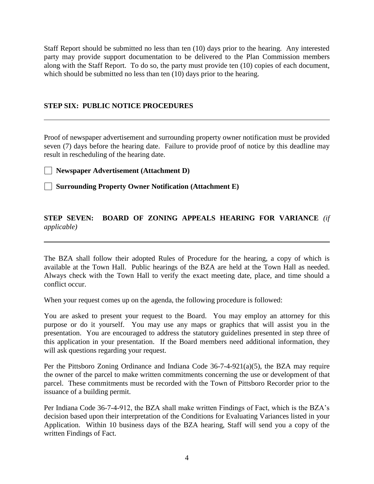Staff Report should be submitted no less than ten (10) days prior to the hearing. Any interested party may provide support documentation to be delivered to the Plan Commission members along with the Staff Report. To do so, the party must provide ten (10) copies of each document, which should be submitted no less than ten (10) days prior to the hearing.

#### **STEP SIX: PUBLIC NOTICE PROCEDURES**

Proof of newspaper advertisement and surrounding property owner notification must be provided seven (7) days before the hearing date. Failure to provide proof of notice by this deadline may result in rescheduling of the hearing date.

**Newspaper Advertisement (Attachment D)**

**Surrounding Property Owner Notification (Attachment E)**

## **STEP SEVEN: BOARD OF ZONING APPEALS HEARING FOR VARIANCE** *(if applicable)*

The BZA shall follow their adopted Rules of Procedure for the hearing, a copy of which is available at the Town Hall. Public hearings of the BZA are held at the Town Hall as needed. Always check with the Town Hall to verify the exact meeting date, place, and time should a conflict occur.

When your request comes up on the agenda, the following procedure is followed:

You are asked to present your request to the Board. You may employ an attorney for this purpose or do it yourself. You may use any maps or graphics that will assist you in the presentation. You are encouraged to address the statutory guidelines presented in step three of this application in your presentation. If the Board members need additional information, they will ask questions regarding your request.

Per the Pittsboro Zoning Ordinance and Indiana Code 36-7-4-921(a)(5), the BZA may require the owner of the parcel to make written commitments concerning the use or development of that parcel. These commitments must be recorded with the Town of Pittsboro Recorder prior to the issuance of a building permit.

Per Indiana Code 36-7-4-912, the BZA shall make written Findings of Fact, which is the BZA's decision based upon their interpretation of the Conditions for Evaluating Variances listed in your Application. Within 10 business days of the BZA hearing, Staff will send you a copy of the written Findings of Fact.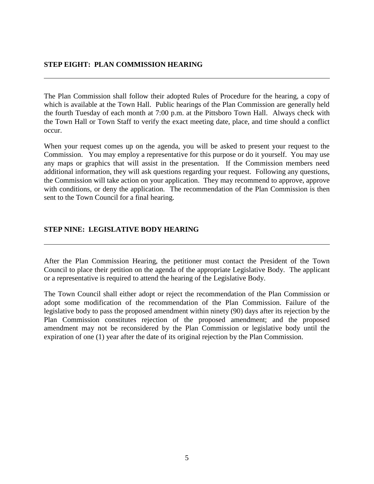#### **STEP EIGHT: PLAN COMMISSION HEARING**

The Plan Commission shall follow their adopted Rules of Procedure for the hearing, a copy of which is available at the Town Hall. Public hearings of the Plan Commission are generally held the fourth Tuesday of each month at 7:00 p.m. at the Pittsboro Town Hall. Always check with the Town Hall or Town Staff to verify the exact meeting date, place, and time should a conflict occur.

When your request comes up on the agenda, you will be asked to present your request to the Commission. You may employ a representative for this purpose or do it yourself. You may use any maps or graphics that will assist in the presentation. If the Commission members need additional information, they will ask questions regarding your request. Following any questions, the Commission will take action on your application. They may recommend to approve, approve with conditions, or deny the application. The recommendation of the Plan Commission is then sent to the Town Council for a final hearing.

#### **STEP NINE: LEGISLATIVE BODY HEARING**

After the Plan Commission Hearing, the petitioner must contact the President of the Town Council to place their petition on the agenda of the appropriate Legislative Body. The applicant or a representative is required to attend the hearing of the Legislative Body.

The Town Council shall either adopt or reject the recommendation of the Plan Commission or adopt some modification of the recommendation of the Plan Commission. Failure of the legislative body to pass the proposed amendment within ninety (90) days after its rejection by the Plan Commission constitutes rejection of the proposed amendment; and the proposed amendment may not be reconsidered by the Plan Commission or legislative body until the expiration of one (1) year after the date of its original rejection by the Plan Commission.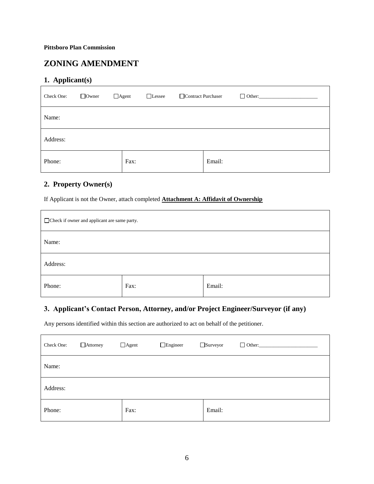# **ZONING AMENDMENT**

## **1. Applicant(s)**

| Check One: | $\Box$ Owner | $\Box$ Agent<br>□Lessee | Contract Purchaser |        | $\Box$ Other: |
|------------|--------------|-------------------------|--------------------|--------|---------------|
| Name:      |              |                         |                    |        |               |
| Address:   |              |                         |                    |        |               |
| Phone:     |              | Fax:                    |                    | Email: |               |

## **2. Property Owner(s)**

If Applicant is not the Owner, attach completed **Attachment A: Affidavit of Ownership**

| □ Check if owner and applicant are same party. |      |        |  |
|------------------------------------------------|------|--------|--|
| Name:                                          |      |        |  |
| Address:                                       |      |        |  |
| Phone:                                         | Fax: | Email: |  |

#### **3. Applicant's Contact Person, Attorney, and/or Project Engineer/Surveyor (if any)**

Any persons identified within this section are authorized to act on behalf of the petitioner.

| Check One: | $\Box$ Attorney | $\Box$ Agent | $\Box$ Engineer | Surveyor | $\Box$ Other: |
|------------|-----------------|--------------|-----------------|----------|---------------|
| Name:      |                 |              |                 |          |               |
| Address:   |                 |              |                 |          |               |
| Phone:     |                 | Fax:         |                 | Email:   |               |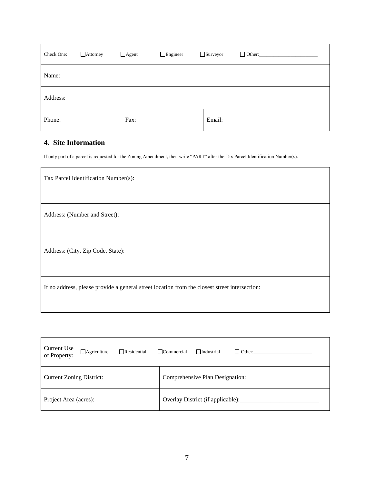| Check One: | $\Box$ Attorney | $\Box$ Agent | $\Box$ Engineer | □ Surveyor | $\Box$ Other: $\_\_\_\_\_\_\_\_\_\$ |
|------------|-----------------|--------------|-----------------|------------|-------------------------------------|
| Name:      |                 |              |                 |            |                                     |
| Address:   |                 |              |                 |            |                                     |
| Phone:     |                 | Fax:         |                 | Email:     |                                     |

## **4. Site Information**

If only part of a parcel is requested for the Zoning Amendment, then write "PART" after the Tax Parcel Identification Number(s).

| Tax Parcel Identification Number(s):                                                          |
|-----------------------------------------------------------------------------------------------|
|                                                                                               |
| Address: (Number and Street):                                                                 |
|                                                                                               |
| Address: (City, Zip Code, State):                                                             |
|                                                                                               |
| If no address, please provide a general street location from the closest street intersection: |
|                                                                                               |

| Current Use<br>$\Box$ Agriculture<br>$\Box$ Residential<br>of Property: | $\Box$ Commercial<br>$\Box$ Industrial<br>$\Box$ Other: |  |  |
|-------------------------------------------------------------------------|---------------------------------------------------------|--|--|
| <b>Current Zoning District:</b>                                         | Comprehensive Plan Designation:                         |  |  |
| Project Area (acres):                                                   | Overlay District (if applicable):                       |  |  |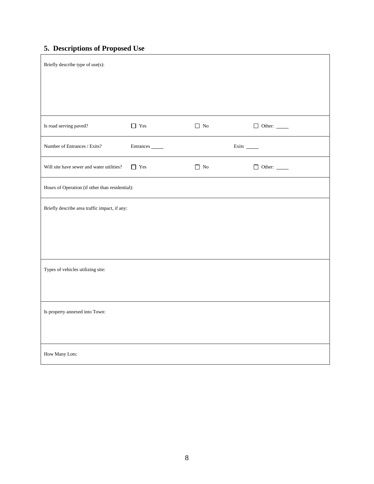# **5. Descriptions of Proposed Use**

| Briefly describe type of use(s):                |                        |                    |                      |  |  |
|-------------------------------------------------|------------------------|--------------------|----------------------|--|--|
|                                                 |                        |                    |                      |  |  |
|                                                 |                        |                    |                      |  |  |
| Is road serving paved?                          | $\hfill\Box\hfill$ Yes | $\hfill\Box$<br>No | $\Box$ Other: $\_\_$ |  |  |
| Number of Entrances / Exits?                    | Entrances              |                    |                      |  |  |
| Will site have sewer and water utilities?       | $\hfill\Box\hfill$ Yes | $\hfill\Box$<br>No | $\Box$ Other: $\_\_$ |  |  |
| Hours of Operation (if other than residential): |                        |                    |                      |  |  |
| Briefly describe area traffic impact, if any:   |                        |                    |                      |  |  |
|                                                 |                        |                    |                      |  |  |
|                                                 |                        |                    |                      |  |  |
| Types of vehicles utilizing site:               |                        |                    |                      |  |  |
|                                                 |                        |                    |                      |  |  |
| Is property annexed into Town:                  |                        |                    |                      |  |  |
|                                                 |                        |                    |                      |  |  |
| How Many Lots:                                  |                        |                    |                      |  |  |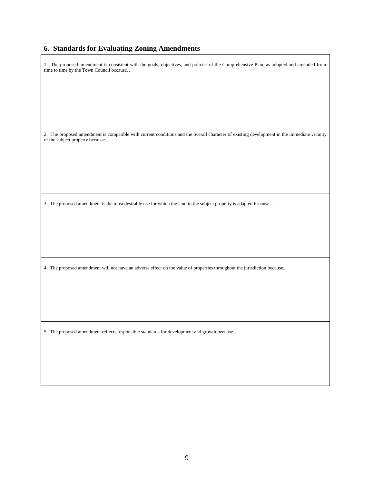#### **6. Standards for Evaluating Zoning Amendments**

1. The proposed amendment is consistent with the goals, objectives, and policies of the Comprehensive Plan, as adopted and amended from time to time by the Town Council because…

2. The proposed amendment is compatible with current conditions and the overall character of existing development in the immediate vicinity of the subject property because...

3. The proposed amendment is the most desirable use for which the land in the subject property is adapted because…

4. The proposed amendment will not have an adverse effect on the value of properties throughout the jurisdiction because...

5. The proposed amendment reflects responsible standards for development and growth because…